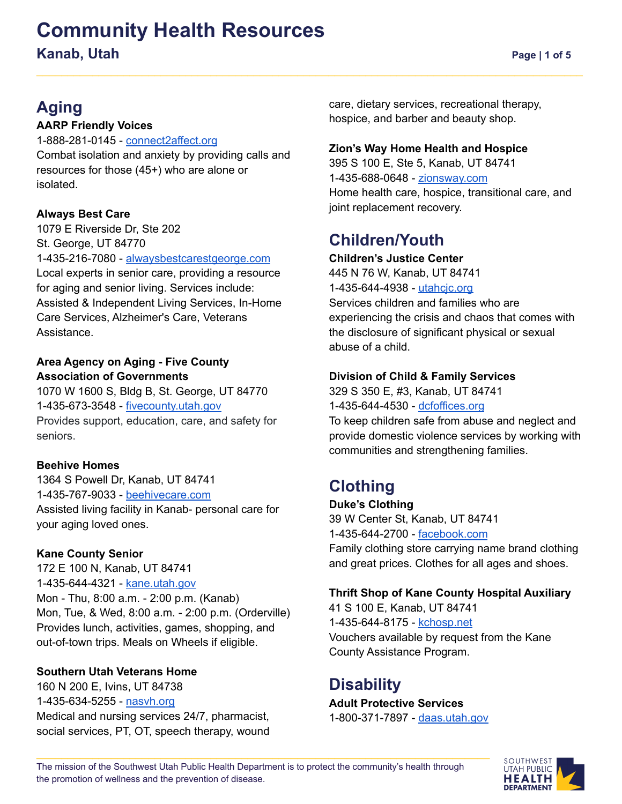# **Community Health Resources**

**Kanab, Utah Page | 1** of 5

## **Aging**

### **AARP Friendly Voices**

1-888-281-0145 - [connect2affect.org](https://connect2affect.org/) Combat isolation and anxiety by providing calls and resources for those (45+) who are alone or isolated.

### **Always Best Care**

1079 E Riverside Dr, Ste 202 St. George, UT 84770 1-435-216-7080 - [alwaysbestcarestgeorge.com](http://www.alwaysbestcarestgeorge.com) Local experts in senior care, providing a resource for aging and senior living. Services include: Assisted & Independent Living Services, In-Home Care Services, Alzheimer's Care, Veterans Assistance.

### **Area Agency on Aging - Five County Association of Governments**

1070 W 1600 S, Bldg B, St. George, UT 84770 1-435-673-3548 - [fivecounty.utah.gov](http://www.fivecounty.utah.gov/) Provides support, education, care, and safety for seniors.

### **Beehive Homes**

1364 S Powell Dr, [Kanab,](https://goo.gl/maps/tQPrf) UT 84741 1-435-767-9033 - [beehivecare.com](https://beehivecare.com/kanab-utah-assisted-living/) Assisted living facility in Kanab- personal care for your aging loved ones.

### **Kane County Senior**

172 E 100 N, Kanab, UT 84741 1-435-644-4321 - [kane.utah.gov](https://kane.utah.gov/gov/dept/seniors/) Mon - Thu, 8:00 a.m. - 2:00 p.m. (Kanab) Mon, Tue, & Wed, 8:00 a.m. - 2:00 p.m. (Orderville) Provides lunch, activities, games, shopping, and out-of-town trips. Meals on Wheels if eligible.

### **Southern Utah Veterans Home**

160 N 200 E, Ivins, UT 84738 1-435-634-5255 - [nasvh.org](https://www.nasvh.org/state-homes/statedir-info.cfm?id=193) Medical and nursing services 24/7, pharmacist, social services, PT, OT, speech therapy, wound care, dietary services, recreational therapy, hospice, and barber and beauty shop.

### **Zion's Way Home Health and Hospice**

395 S 100 E, Ste 5, Kanab, UT 84741 1-435-688-0648 - [zionsway.com](https://zionsway.com/zions-way-kanab/) Home health care, hospice, transitional care, and joint replacement recovery.

### **Children/Youth**

### **Children's Justice Center**

445 N 76 W, Kanab, UT 84741 1-435-644-4938 - [utahcjc.org](http://www.utahcjc.org) Services children and families who are experiencing the crisis and chaos that comes with the disclosure of significant physical or sexual abuse of a child.

### **Division of Child & Family Services**

329 S 350 E, #3, Kanab, UT 84741 1-435-644-4530 - [dcfoffices.org](http://www.dcfoffices.org)

To keep children safe from abuse and neglect and provide domestic violence services by working with communities and strengthening families.

### **Clothing**

**Duke's Clothing** 39 W Center St, Kanab, UT 84741 1-435-644-2700 - [facebook.com](https://www.facebook.com/DukesClothingUT/) Family clothing store carrying name brand clothing and great prices. Clothes for all ages and shoes.

### **Thrift Shop of Kane County Hospital Auxiliary**

41 S 100 E, Kanab, UT 84741 1-435-644-8175 - [kchosp.net](https://kchosp.net/) Vouchers available by request from the Kane County Assistance Program.

### **Disability**

**Adult Protective Services** 1-800-371-7897 - [daas.utah.gov](https://daas.utah.gov/adult-protective-services/)

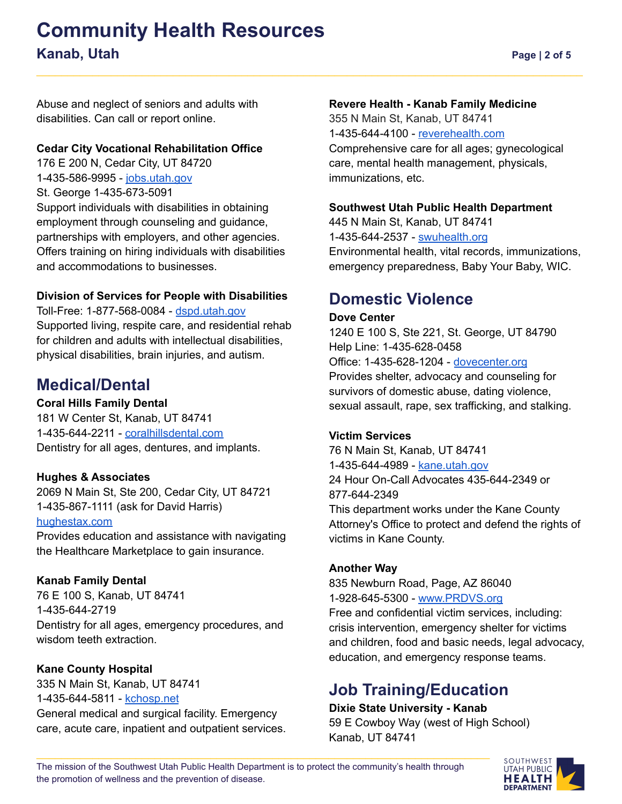### **Community Health Resources Kanab, Utah Page** | 2 of 5

Abuse and neglect of seniors and adults with disabilities. Can call or report online.

### **Cedar City Vocational Rehabilitation Office**

176 E 200 N, Cedar City, UT 84720 1-435-586-9995 - [jobs.utah.gov](https://jobs.utah.gov/usor/vr/index.html) St. George 1-435-673-5091 Support individuals with disabilities in obtaining employment through counseling and guidance, partnerships with employers, and other agencies. Offers training on hiring individuals with disabilities and accommodations to businesses.

### **Division of Services for People with Disabilities**

Toll-Free: 1-877-568-0084 - [dspd.utah.gov](https://dspd.utah.gov/) Supported living, respite care, and residential rehab for children and adults with intellectual disabilities, physical disabilities, brain injuries, and autism.

### **Medical/Dental**

### **Coral Hills Family Dental**

181 W Center St, Kanab, UT 84741 1-435-644-2211 - [coralhillsdental.com](http://coralhillsdental.com/) Dentistry for all ages, dentures, and implants.

### **Hughes & Associates**

2069 N Main St, Ste 200, Cedar City, UT 84721 1-435-867-1111 (ask for David Harris) [hughestax.com](http://www.hughestax.com/)

Provides education and assistance with navigating the Healthcare Marketplace to gain insurance.

### **Kanab Family Dental**

76 E 100 S, Kanab, UT 84741 1-435-644-2719 Dentistry for all ages, emergency procedures, and wisdom teeth extraction

### **Kane County Hospital**

335 N Main St, Kanab, UT 84741 1-435-644-5811 - [kchosp.net](https://kchosp.net/) General medical and surgical facility. Emergency care, acute care, inpatient and outpatient services.

### **Revere Health - Kanab Family Medicine**

355 N Main St, Kanab, UT 84741 1-435-644-4100 - [reverehealth.com](https://reverehealth.com/departments/kanab-family-medicine-2/) Comprehensive care for all ages; gynecological care, mental health management, physicals, immunizations, etc.

### **Southwest Utah Public Health Department**

445 N Main St, Kanab, UT 84741 1-435-644-2537 - [swuhealth.org](https://swuhealth.org/knb/) Environmental health, vital records, immunizations, emergency preparedness, Baby Your Baby, WIC.

### **Domestic Violence**

### **Dove Center**

1240 E 100 S, Ste 221, St. George, UT 84790 Help Line: 1-435-628-0458 Office: 1-435-628-1204 - [dovecenter.org](https://dovecenter.org/) Provides shelter, advocacy and counseling for survivors of domestic abuse, dating violence, sexual assault, rape, sex trafficking, and stalking.

### **Victim Services**

76 N Main St, Kanab, UT 84741 1-435-644-4989 - [kane.utah.gov](https://kane.utah.gov/gov/dept/victim-services/) 24 Hour On-Call Advocates 435-644-2349 or 877-644-2349 This department works under the Kane County Attorney's Office to protect and defend the rights of victims in Kane County.

### **Another Way**

835 Newburn Road, Page, AZ 86040 1-928-645-5300 - [www.PRDVS.org](http://www.prdvs.org)

Free and confidential victim services, including: crisis intervention, emergency shelter for victims and children, food and basic needs, legal advocacy, education, and emergency response teams.

### **Job Training/Education**

### **Dixie State University - Kanab**

59 E Cowboy Way (west of High School) Kanab, UT 84741

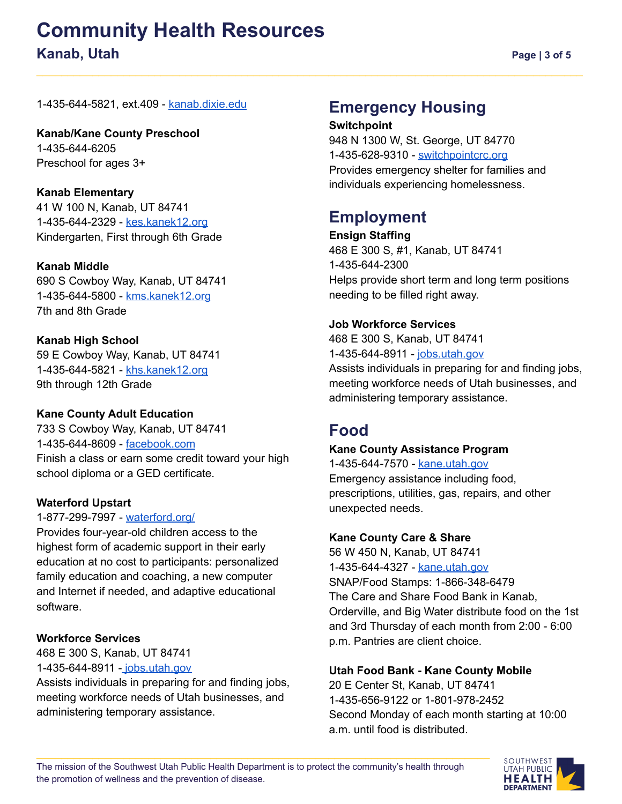# **Community Health Resources**

### **Kanab, Utah Page** | 3 of 5

1-435-644-5821, ext.409 - [kanab.dixie.edu](https://kanab.dixie.edu/)

**Kanab/Kane County Preschool** 1-435-644-6205 Preschool for ages 3+

### **Kanab Elementary**

41 W 100 N, Kanab, UT 84741 1-435-644-2329 - [kes.kanek12.org](https://kes.kanek12.org/) Kindergarten, First through 6th Grade

### **Kanab Middle**

690 S Cowboy Way, Kanab, UT 84741 1-435-644-5800 - [kms.kanek12.org](http://kms.kanek12.org/#) 7th and 8th Grade

### **Kanab High School**

59 E Cowboy Way, Kanab, UT 84741 1-435-644-5821 - [khs.kanek12.org](https://khs.kanek12.org/) 9th through 12th Grade

### **Kane County Adult Education**

733 S Cowboy Way, Kanab, UT 84741 1-435-644-8609 - [facebook.com](https://www.facebook.com/Kanecountyadulteducation/) Finish a class or earn some credit toward your high school diploma or a GED certificate.

### **Waterford Upstart**

### 1-877-299-7997 - [waterford.org/](https://www.waterford.org/)

Provides four-year-old children access to the highest form of academic support in their early education at no cost to participants: personalized family education and coaching, a new computer and Internet if needed, and adaptive educational software.

### **Workforce Services**

468 E 300 S, Kanab, UT 84741 1-435-644-8911 - [jobs.utah.gov](https://jobs.utah.gov/)

Assists individuals in preparing for and finding jobs, meeting workforce needs of Utah businesses, and administering temporary assistance.

### **Emergency Housing**

#### **Switchpoint**

948 N 1300 W, St. George, UT 84770 1-435-628-9310 - [switchpointcrc.org](https://switchpointcrc.org/) Provides emergency shelter for families and individuals experiencing homelessness.

### **Employment**

**Ensign Staffing** 468 E 300 S, #1, Kanab, UT 84741 1-435-644-2300 Helps provide short term and long term positions needing to be filled right away.

### **Job Workforce Services**

468 E 300 S, Kanab, UT 84741 1-435-644-8911 - [jobs.utah.gov](https://jobs.utah.gov/) Assists individuals in preparing for and finding jobs, meeting workforce needs of Utah businesses, and administering temporary assistance.

### **Food**

### **Kane County Assistance Program**

1-435-644-7570 - [kane.utah.gov](https://kane.utah.gov/gov/dept/sheriff/emergency-services/public-assistance-programs/) Emergency assistance including food, prescriptions, utilities, gas, repairs, and other unexpected needs.

### **Kane County Care & Share**

56 W 450 N, Kanab, UT 84741 1-435-644-4327 - [kane.utah.gov](https://kane.utah.gov/gov/dept/care-and-share) SNAP/Food Stamps: 1-866-348-6479 The Care and Share Food Bank in Kanab, Orderville, and Big Water distribute food on the 1st and 3rd Thursday of each month from 2:00 - 6:00 p.m. Pantries are client choice.

### **Utah Food Bank - Kane County Mobile**

20 E Center St, Kanab, UT 84741 1-435-656-9122 or 1-801-978-2452 Second Monday of each month starting at 10:00 a.m. until food is distributed.

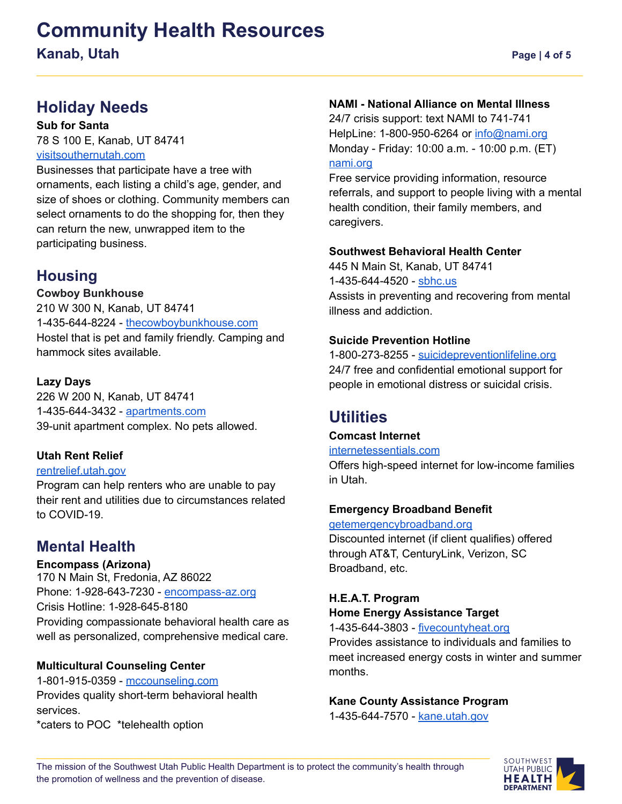# **Community Health Resources**

**Kanab, Utah Page |** 4 of 5

### **Holiday Needs**

#### **Sub for Santa**

78 S 100 E, Kanab, UT 84741 [visitsouthernutah.com](https://visitsouthernutah.com/sub-4-santa/)

Businesses that participate have a tree with ornaments, each listing a child's age, gender, and size of shoes or clothing. Community members can select ornaments to do the shopping for, then they can return the new, unwrapped item to the participating business.

### **Housing**

### **Cowboy Bunkhouse**

210 W 300 N, Kanab, UT 84741 1-435-644-8224 - [thecowboybunkhouse.com](http://www.thecowboybunkhouse.com/home.html) Hostel that is pet and family friendly. Camping and hammock sites available.

### **Lazy Days**

226 W 200 N, Kanab, UT 84741 1-435-644-3432 - [apartments.com](https://www.apartments.com/lazy-days-apartments-kanab-ut/f8m4n8t/) 39-unit apartment complex. No pets allowed.

### **Utah Rent Relief**

### [rentrelief.utah.gov](https://rentrelief.utah.gov/)

Program can help renters who are unable to pay their rent and utilities due to circumstances related to COVID-19.

### **Mental Health**

**Encompass (Arizona)** 170 N Main St, Fredonia, AZ 86022 Phone: 1-928-643-7230 - [encompass-az.org](https://www.encompass-az.org/) Crisis Hotline: 1-928-645-8180 Providing compassionate behavioral health care as well as personalized, comprehensive medical care.

### **Multicultural Counseling Center**

1-801-915-0359 - [mccounseling.com](https://www.mccounseling.com/) Provides quality short-term behavioral health services. \*caters to POC \*telehealth option

### **NAMI - National Alliance on Mental Illness**

24/7 crisis support: text NAMI to 741-741 HelpLine: 1-800-950-6264 or [info@nami.org](mailto:info@nami.org) Monday - Friday: 10:00 a.m. - 10:00 p.m. (ET) [nami.org](https://www.nami.org/Home)

Free service providing information, resource referrals, and support to people living with a mental health condition, their family members, and caregivers.

### **Southwest Behavioral Health Center**

445 N Main St, Kanab, UT 84741 1-435-644-4520 - [sbhc.us](http://www.sbhc.us/) Assists in preventing and recovering from mental illness and addiction.

### **Suicide Prevention Hotline**

1-800-273-8255 - [suicidepreventionlifeline.org](https://suicidepreventionlifeline.org/) 24/7 free and confidential emotional support for people in emotional distress or suicidal crisis.

### **Utilities**

### **Comcast Internet**

#### [internetessentials.com](https://www.internetessentials.com/)

Offers high-speed internet for low-income families in Utah.

### **Emergency Broadband Benefit**

#### [getemergencybroadband.org](https://getemergencybroadband.org/)

Discounted internet (if client qualifies) offered through AT&T, CenturyLink, Verizon, SC Broadband, etc.

### **H.E.A.T. Program Home Energy Assistance Target**

1-435-644-3803 - [fivecountyheat.org](https://fivecountyheat.org) Provides assistance to individuals and families to meet increased energy costs in winter and summer months.

### **Kane County Assistance Program**

1-435-644-7570 - [kane.utah.gov](https://kane.utah.gov/gov/dept/sheriff/emergency-services/public-assistance-programs/)